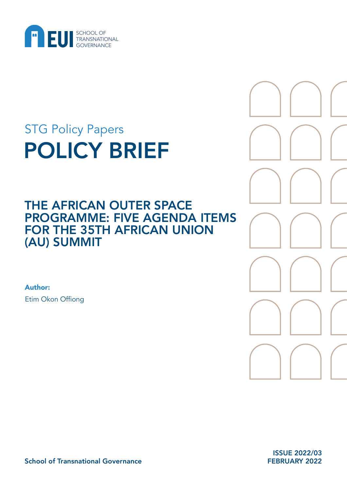

# POLICY BRIEF STG Policy Papers

# THE AFRICAN OUTER SPACE PROGRAMME: FIVE AGENDA ITEMS FOR THE 35TH AFRICAN UNION (AU) SUMMIT

Author: Etim Okon Offiong



ISSUE 2022/03 FEBRUARY 2022

School of Transnational Governance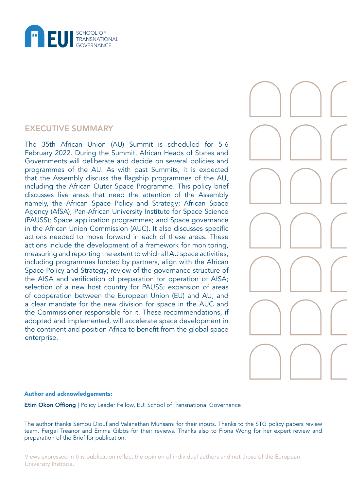

# EXECUTIVE SUMMARY

The 35th African Union (AU) Summit is scheduled for 5-6 February 2022. During the Summit, African Heads of States and Governments will deliberate and decide on several policies and programmes of the AU. As with past Summits, it is expected that the Assembly discuss the flagship programmes of the AU, including the African Outer Space Programme. This policy brief discusses five areas that need the attention of the Assembly namely, the African Space Policy and Strategy; African Space Agency (AfSA); Pan-African University Institute for Space Science (PAUSS); Space application programmes; and Space governance in the African Union Commission (AUC). It also discusses specific actions needed to move forward in each of these areas. These actions include the development of a framework for monitoring, measuring and reporting the extent to which all AU space activities, including programmes funded by partners, align with the African Space Policy and Strategy; review of the governance structure of the AfSA and verification of preparation for operation of AfSA; selection of a new host country for PAUSS; expansion of areas of cooperation between the European Union (EU) and AU; and a clear mandate for the new division for space in the AUC and the Commissioner responsible for it. These recommendations, if adopted and implemented, will accelerate space development in the continent and position Africa to benefit from the global space enterprise.



#### Author and acknowledgements:

Etim Okon Offiong | Policy Leader Fellow, EUI School of Transnational Governance

The author thanks Semou Diouf and Valanathan Munsami for their inputs. Thanks to the STG policy papers review team, Fergal Treanor and Emma Gibbs for their reviews. Thanks also to Fiona Wong for her expert review and preparation of the Brief for publication.

Views expressed in this publication reflect the opinion of individual authors and not those of the European University Institute.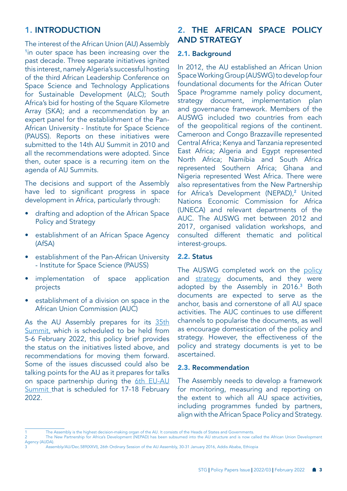# 1. INTRODUCTION

The interest of the African Union (AU) Assembly <sup>1</sup>in outer space has been increasing over the past decade. Three separate initiatives ignited this interest, namely Algeria's successful hosting of the third African Leadership Conference on Space Science and Technology Applications for Sustainable Development (ALC); South Africa's bid for hosting of the Square Kilometre Array (SKA); and a recommendation by an expert panel for the establishment of the Pan-African University - Institute for Space Science (PAUSS). Reports on these initiatives were submitted to the 14th AU Summit in 2010 and all the recommendations were adopted. Since then, outer space is a recurring item on the agenda of AU Summits.

The decisions and support of the Assembly have led to significant progress in space development in Africa, particularly through:

- drafting and adoption of the African Space Policy and Strategy
- establishment of an African Space Agency (AfSA)
- establishment of the Pan-African University - Institute for Space Science (PAUSS)
- implementation of space application projects
- establishment of a division on space in the African Union Commission (AUC)

As the AU Assembly prepares for its [35th](https://au.int/en/announcements/20220105/media-announcement-35th-ordinary-session-assembly-au)  [Summit,](https://au.int/en/announcements/20220105/media-announcement-35th-ordinary-session-assembly-au) which is scheduled to be held from 5-6 February 2022, this policy brief provides the status on the initiatives listed above, and recommendations for moving them forward. Some of the issues discussed could also be talking points for the AU as it prepares for talks on space partnership during the 6th EU-AU [Summit](https://www.consilium.europa.eu/en/meetings/international-summit/2022/02/17-18/) that is scheduled for 17-18 February 2022.

# 2. THE AFRICAN SPACE POLICY AND STRATEGY

#### 2.1. Background

In 2012, the AU established an African Union Space Working Group (AUSWG) to develop four foundational documents for the African Outer Space Programme namely policy document, strategy document, implementation plan and governance framework. Members of the AUSWG included two countries from each of the geopolitical regions of the continent. Cameroon and Congo Brazzaville represented Central Africa; Kenya and Tanzania represented East Africa; Algeria and Egypt represented North Africa; Namibia and South Africa represented Southern Africa; Ghana and Nigeria represented West Africa. There were also representatives from the New Partnership for Africa's Development (NEPAD),<sup>2</sup> United Nations Economic Commission for Africa (UNECA) and relevant departments of the AUC. The AUSWG met between 2012 and 2017, organised validation workshops, and consulted different thematic and political interest-groups.

#### 2.2. Status

The AUSWG completed work on the [policy](https://au.int/sites/default/files/documents/37433-doc-african_space_policy_isbn_electronic_.pdf) and [strategy](https://au.int/sites/default/files/documents/37434-doc-au_space_strategy_isbn-electronic.pdf) documents, and they were adopted by the Assembly in 2016.<sup>3</sup> Both documents are expected to serve as the anchor, basis and cornerstone of all AU space activities. The AUC continues to use different channels to popularise the documents, as well as encourage domestication of the policy and strategy. However, the effectiveness of the policy and strategy documents is yet to be ascertained.

#### 2.3. Recommendation

The Assembly needs to develop a framework for monitoring, measuring and reporting on the extent to which all AU space activities, including programmes funded by partners, align with the African Space Policy and Strategy.

Agency (AUDA).

<sup>1</sup> The Assembly is the highest decision-making organ of the AU. It consists of the Heads of States and Governments.<br>2 The New Partnership for Africa's Development (NFPAD) has been subsumed into the AU structure and is now c 2 The New Partnership for Africa's Development (NEPAD) has been subsumed into the AU structure and is now called the African Union Development

<sup>3</sup> Assembly/AU/Dec.589(XXVI), 26th Ordinary Session of the AU Assembly, 30-31 January 2016, Addis Ababa, Ethiopia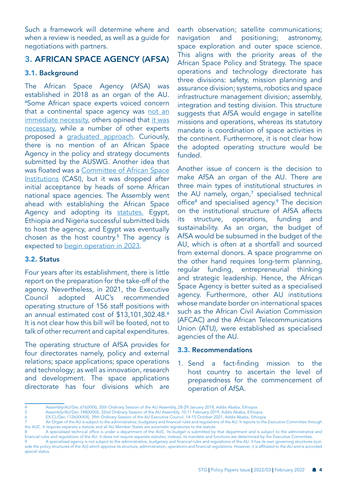Such a framework will determine where and when a review is needed, as well as a guide for negotiations with partners.

# 3. AFRICAN SPACE AGENCY (AFSA)

#### 3.1. Background

The African Space Agency (AfSA) was established in 2018 as an organ of the AU. <sup>4</sup>Some African space experts voiced concern that a continental space agency was not an [immediate necessity,](https://pdf.sciencedirectassets.com/271460/1-s2.0-S0265964612X00043/1-s2.0-S0265964612000677/main.pdf?X-Amz-Security-Token=IQoJb3JpZ2luX2VjEFUaCXVzLWVhc3QtMSJHMEUCIBrPt3GYpfaH0Kbe7YHbST%2BrSzp03%2BUytVh8Xljrh45kAiEAhinVCpM9lUVARLqD0LhMOPZr%2Bjzs0OxuC3dvFWOggy4q%2BgMIfRAEGgwwNTkwMDM1NDY4NjUiDG4B1ANdsBmuq2bEaCrXA3hPvO%2BZiq%2B8F6bJ5zmFECoiHq8a0RXYAx63MLnzJlcy09IIN0e2UK5hAudgbZQh%2Fd8pccOZfXR3Rc2eoODdYFsJ0%2BPV34SfkSQZ8PaibJFtQ8rp6ZJuUJRwG8Y60xk2pzZ2grMpGeODHfY%2Fy1vqKLQuRUdvbPE2B%2FJpkwFAORw6cAgsQabyfN5qlkMmi%2FRouvSpHoh%2Fy70AuvzNpDtiyXsAg0OUqjPCYlZivxBxnGCf1uilqeD9YHQ8kp93CJ2%2BTnlZ3vriaW6QXta97urRSqCwDXgqcD5t6e9M5nWZiq2ktCc3Yy%2F9H8pBNE7yKdJarnmD1j5JS0Dn0g5XVKgQbGU1kriRUxiMsyv7EjA6tgnzZ6n16mipDdYE4uKoSlzieGuwyQ9eBveYZVvDvwKtr6ulXU6lfGIVsksCX1R73Xq9ByWxlPA3ZIXdfos7LKjrrPMfwdk5N%2BYxgblOrUdP1N5OAlwA4TNnxsqZwZJe1IgiRPxRuicPsiYUFMXq%2BS6htnnO8KEc9cMmt7K78%2B2FD8x8FkUhiyrsGwjnWWw9T%2F4QO5m83drhfARDizzOl%2FpwLlbA8eltp5SCLrF%2Bdv66aBhtpv6Rx8RHoaJId6uXkRGTWUAg1a3wFTDokbyPBjqlARkkQDekO48kz5iwl7jh8JfRVUjlHcgAq9Hs30rnhswQ%2BUT%2FOdNDj0J54rKOb6vMDbkTCDCkGFOt2wkMIIcLiMCy%2FZbLs3XqAsRuKUkXg2FNKjKmQI5SqH5YtrS73wzbXxjm7b8sfDa8BpxTa1bzNj1PsmKOiITzu%2BOmOsQgsk8eU1tLxDPDXF%2BNwMZqa7S3o0RBbBDqZu96eicNgpcZWUfcW8IOKw%3D%3D&X-Amz-Algorithm=AWS4-HMAC-SHA256&X-Amz-Date=20220124T204312Z&X-Amz-SignedHeaders=host&X-Amz-Expires=300&X-Amz-Credential=ASIAQ3PHCVTYSYTVBABP%2F20220124%2Fus-east-1%2Fs3%2Faws4_request&X-Amz-Signature=48e9cfeb508169843cd049175cc0c9937d9630c14c733feff46c776aadd1d2e7&hash=f1849124300a61c6867ab00e318c431597ab4c3bf998e9126190ddee78ea0c3b&host=68042c943591013ac2b2430a89b270f6af2c76d8dfd086a07176afe7c76c2c61&pii=S0265964612000677&tid=spdf-8ea61c69-f82f-46a8-83a5-a42c7dc6ed5d&sid=6e8b60af3334f04e9e58e4308ac554b81aa6gxrqb&type=client) others opined that it was [necessary,](https://africanews.space/prof-islam-abou-el-magd-gives-deep-insight-into-the-african-space-agency/) while a number of other experts proposed a [graduated approach](https://www.africaportal.org/features/creating-greater-inclusion-african-space-agency/). Curiously, there is no mention of an African Space Agency in the policy and strategy documents submitted by the AUSWG. Another idea that was floated was a [Committee of African Space](https://africanews.space/towards-regional-collaboration-in-the-african-space-industry-the-committee-of-african-space-institutions-casi/)  [Institutions](https://africanews.space/towards-regional-collaboration-in-the-african-space-industry-the-committee-of-african-space-institutions-casi/) (CASI), but it was dropped after initial acceptance by heads of some African national space agencies. The Assembly went ahead with establishing the African Space Agency and adopting its [statutes.](https://au.int/sites/default/files/treaties/36198-treaty-statute_african_space_agency_e.pdf) Egypt, Ethiopia and Nigeria successful submitted bids to host the agency, and Egypt was eventually chosen as the host country.<sup>5</sup> The agency is expected to [begin operation in 2023.](https://physicsworld.com/a/plans-for-african-space-agency-jeopardized-by-lack-of-progress/)

#### 3.2. Status

Four years after its establishment, there is little report on the preparation for the take-off of the agency. Nevertheless, in 2021, the Executive Council adopted AUC's recommended operating structure of 156 staff positions with an annual estimated cost of \$13,101,302.48.<sup>6</sup> It is not clear how this bill will be footed, not to talk of other recurrent and capital expenditures.

The operating structure of AfSA provides for four directorates namely, policy and external relations; space applications; space operations and technology; as well as innovation, research and development. The space applications directorate has four divisions which are

earth observation; satellite communications; navigation and positioning; astronomy, space exploration and outer space science. This aligns with the priority areas of the African Space Policy and Strategy. The space operations and technology directorate has three divisions: safety, mission planning and assurance division; systems, robotics and space infrastructure management division; assembly, integration and testing division. This structure suggests that AfSA would engage in satellite missions and operations, whereas its statutory mandate is coordination of space activities in the continent. Furthermore, it is not clear how the adopted operating structure would be funded.

Another issue of concern is the decision to make AfSA an organ of the AU. There are three main types of institutional structures in the AU namely, organ,<sup>7</sup> specialised technical office<sup>8</sup> and specialised agency.<sup>9</sup> The decision on the institutional structure of AfSA affects its structure, operations, funding and sustainability. As an organ, the budget of AfSA would be subsumed in the budget of the AU, which is often at a shortfall and sourced from external donors. A space programme on the other hand requires long-term planning, regular funding, entrepreneurial thinking and strategic leadership. Hence, the African Space Agency is better suited as a specialised agency. Furthermore, other AU institutions whose mandate border on international spaces such as the African Civil Aviation Commission (AFCAC) and the African Telecommunications Union (ATU), were established as specialised agencies of the AU.

#### 3.3. Recommendations

1. Send a fact-finding mission to the host country to ascertain the level of preparedness for the commencement of operation of AfSA.

<sup>4</sup> Assembly/AU/Dec.676(XXX), 30th Ordinary Session of the AU Assembly, 28-29 January 2018, Addis Ababa, Ethiopia.

<sup>5</sup> Assembly/AU/Dec.748(XXXII), 32nd Ordinary Session of the AU Assembly, 10-11 February 2019, Addis Ababa, Ethiopia.

EX.CL/Dec.1126(XXXIX), 39th Ordinary Session of the AU Executive Council, 14-15 October 2021, Addis Ababa, Ethiopia.

An Organ of the AU is subject to the administrative, budgetary and financial rules and regulations of the AU. It reports to the Executive Committee through the AUC. It requires separate a statute and all AU Member States are automatic signatories to the statute.

<sup>8</sup> A specialised technical office is under a department of the AUC. Its budget is submitted by that department and is subject to the administrative and financial rules and regulations of the AU. It does not require separate statutes; instead, its mandate and functions are determined by the Executive Committee.

A specialised agency is not subject to the administrative, budgetary and financial rules and regulations of the AU. It has its own governing structures (outside the policy structures of the AU) which approve its structure, administration, operations and financial regulations. However, it is affiliated to the AU and is accorded special status.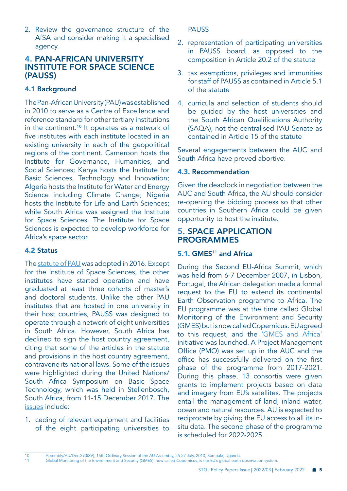2. Review the governance structure of the AfSA and consider making it a specialised agency.

# 4. PAN-AFRICAN UNIVERSITY INSTITUTE FOR SPACE SCIENCE (PAUSS)

## 4.1 Background

The Pan-African University (PAU) was established in 2010 to serve as a Centre of Excellence and reference standard for other tertiary institutions in the continent.<sup>10</sup> It operates as a network of five institutes with each institute located in an existing university in each of the geopolitical regions of the continent. Cameroon hosts the Institute for Governance, Humanities, and Social Sciences; Kenya hosts the Institute for Basic Sciences, Technology and Innovation; Algeria hosts the Institute for Water and Energy Science including Climate Change; Nigeria hosts the Institute for Life and Earth Sciences; while South Africa was assigned the Institute for Space Sciences. The Institute for Space Sciences is expected to develop workforce for Africa's space sector.

#### 4.2 Status

The [statute of PAU](https://au.int/sites/default/files/treaties/33127-treaty-0059_-_revised_statute_pan_african_university_e.pdf) was adopted in 2016. Except for the Institute of Space Sciences, the other institutes have started operation and have graduated at least three cohorts of master's and doctoral students. Unlike the other PAU institutes that are hosted in one university in their host countries, PAUSS was designed to operate through a network of eight universities in South Africa. However, South Africa has declined to sign the host country agreement, citing that some of the articles in the statute and provisions in the host country agreement, contravene its national laws. Some of the issues were highlighted during the United Nations/ South Africa Symposium on Basic Space Technology, which was held in Stellenbosch, South Africa, from 11-15 December 2017. The [issues](https://www.unoosa.org/documents/pdf/psa/activities/2017/SouthAfrica/slides/Presentation41.pdf) include:

1. ceding of relevant equipment and facilities of the eight participating universities to PAUSS

- 2. representation of participating universities in PAUSS board, as opposed to the composition in Article 20.2 of the statute
- 3. tax exemptions, privileges and immunities for staff of PAUSS as contained in Article 5.1 of the statute
- 4. curricula and selection of students should be guided by the host universities and the South African Qualifications Authority (SAQA), not the centralised PAU Senate as contained in Article 15 of the statute

Several engagements between the AUC and South Africa have proved abortive.

#### 4.3. Recommendation

Given the deadlock in negotiation between the AUC and South Africa, the AU should consider re-opening the bidding process so that other countries in Southern Africa could be given opportunity to host the institute.

## 5. SPACE APPLICATION PROGRAMMES

#### 5.1. GMES<sup>11</sup> and Africa

During the Second EU-Africa Summit, which was held from 6-7 December 2007, in Lisbon, Portugal, the African delegation made a formal request to the EU to extend its continental Earth Observation programme to Africa. The EU programme was at the time called Global Monitoring of the Environment and Security (GMES) but is now called Copernicus. EU agreed to this request, and the ['GMES and Africa'](http://gmes4africa.blogspot.com/)  initiative was launched. A Project Management Office (PMO) was set up in the AUC and the office has successfully delivered on the first phase of the programme from 2017-2021. During this phase, 13 consortia were given grants to implement projects based on data and imagery from EU's satellites. The projects entail the management of land, inland water, ocean and natural resources. AU is expected to reciprocate by giving the EU access to all its insitu data. The second phase of the programme is scheduled for 2022-2025.

10 Assembly/AU/Dec.290(XV), 15th Ordinary Session of the AU Assembly, 25-27 July, 2010, Kampala, Uganda.

11 Global Monitoring of the Environment and Security (GMES), now called Copernicus, is the EU's global earth observation system.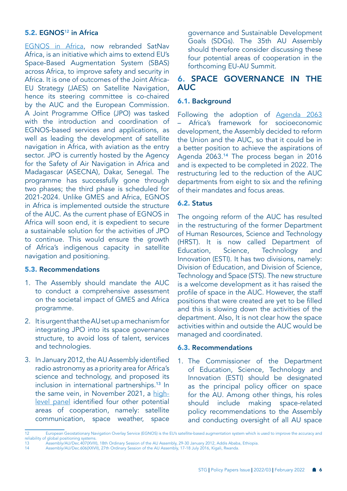#### 5.2. EGNOS<sup>12</sup> in Africa

[EGNOS in Africa](https://africa-eu-partnership.org/en/projects/european-geostationary-navigation-overlay-service-egnos-africa-support-programme), now rebranded SatNav Africa, is an initiative which aims to extend EU's Space-Based Augmentation System (SBAS) across Africa, to improve safety and security in Africa. It is one of outcomes of the Joint Africa-EU Strategy (JAES) on Satellite Navigation, hence its steering committee is co-chaired by the AUC and the European Commission. A Joint Programme Office (JPO) was tasked with the introduction and coordination of EGNOS-based services and applications, as well as leading the development of satellite navigation in Africa, with aviation as the entry sector. JPO is currently hosted by the Agency for the Safety of Air Navigation in Africa and Madagascar (ASECNA), Dakar, Senegal. The programme has successfully gone through two phases; the third phase is scheduled for 2021-2024. Unlike GMES and Africa, EGNOS in Africa is implemented outside the structure of the AUC. As the current phase of EGNOS in Africa will soon end, it is expedient to secure a sustainable solution for the activities of JPO to continue. This would ensure the growth of Africa's indigenous capacity in satellite navigation and positioning.

#### 5.3. Recommendations

- 1. The Assembly should mandate the AUC to conduct a comprehensive assessment on the societal impact of GMES and Africa programme.
- 2. It is urgent that the AU set up a mechanism for integrating JPO into its space governance structure, to avoid loss of talent, services and technologies.
- 3. In January 2012, the AU Assembly identified radio astronomy as a priority area for Africa's science and technology, and proposed its inclusion in international partnerships.<sup>13</sup> In the same vein, in November 2021, a [high](https://cadmus.eui.eu/bitstream/handle/1814/73251/PB_2021_23_STG.pdf?sequence=3&isAllowed=y)[level panel](https://cadmus.eui.eu/bitstream/handle/1814/73251/PB_2021_23_STG.pdf?sequence=3&isAllowed=y) identified four other potential areas of cooperation, namely: satellite communication, space weather, space

governance and Sustainable Development Goals (SDGs). The 35th AU Assembly should therefore consider discussing these four potential areas of cooperation in the forthcoming EU-AU Summit.

# 6. SPACE GOVERNANCE IN THE AUC

#### 6.1. Background

Following the adoption of Agenda 2063 – Africa's framework for socioeconomic development, the Assembly decided to reform the Union and the AUC, so that it could be in a better position to achieve the aspirations of Agenda 2063.14 The process began in 2016 and is expected to be completed in 2022. The restructuring led to the reduction of the AUC departments from eight to six and the refining of their mandates and focus areas.

#### 6.2. Status

The ongoing reform of the AUC has resulted in the restructuring of the former Department of Human Resources, Science and Technology (HRST). It is now called Department of Education, Science, Technology and Innovation (ESTI). It has two divisions, namely: Division of Education, and Division of Science, Technology and Space (STS). The new structure is a welcome development as it has raised the profile of space in the AUC. However, the staff positions that were created are yet to be filled and this is slowing down the activities of the department. Also, It is not clear how the space activities within and outside the AUC would be managed and coordinated.

#### 6.3. Recommendations

1. The Commissioner of the Department of Education, Science, Technology and Innovation (ESTI) should be designated as the principal policy officer on space for the AU. Among other things, his roles should include making space-related policy recommendations to the Assembly and conducting oversight of all AU space

<sup>12</sup> European Geostationary Navigation Overlay Service (EGNOS) is the EU's satellite-based augmentation system which is used to improve the accuracy and reliability of global positioning systems<br>13 Assembly/AU/Dec.407(XVII

<sup>13</sup> Assembly/AU/Dec.407(XVIII), 18th Ordinary Session of the AU Assembly, 29-30 January 2012, Addis Ababa, Ethiopia.<br>14 Assembly/AU/Dec 606(XXVIII), 27th Ordinary Session of the AU Assembly 17-18 July 2016. Kigali: Rwanda Assembly/AU/Dec.606(XXVII), 27th Ordinary Session of the AU Assembly, 17-18 July 2016, Kigali, Rwanda.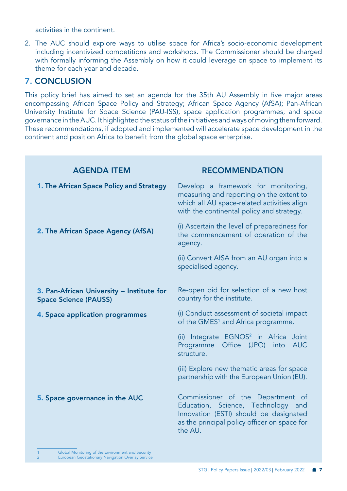activities in the continent.

2. The AUC should explore ways to utilise space for Africa's socio-economic development including incentivized competitions and workshops. The Commissioner should be charged with formally informing the Assembly on how it could leverage on space to implement its theme for each year and decade.

# 7. CONCLUSION

This policy brief has aimed to set an agenda for the 35th AU Assembly in five major areas encompassing African Space Policy and Strategy; African Space Agency (AfSA); Pan-African University Institute for Space Science (PAU-ISS); space application programmes; and space governance in the AUC. It highlighted the status of the initiatives and ways of moving them forward. These recommendations, if adopted and implemented will accelerate space development in the continent and position Africa to benefit from the global space enterprise.

| <b>AGENDA ITEM</b>                                                        | <b>RECOMMENDATION</b>                                                                                                                                                        |
|---------------------------------------------------------------------------|------------------------------------------------------------------------------------------------------------------------------------------------------------------------------|
| 1. The African Space Policy and Strategy                                  | Develop a framework for monitoring,<br>measuring and reporting on the extent to<br>which all AU space-related activities align<br>with the continental policy and strategy.  |
| 2. The African Space Agency (AfSA)                                        | (i) Ascertain the level of preparedness for<br>the commencement of operation of the<br>agency.                                                                               |
|                                                                           | (ii) Convert AfSA from an AU organ into a<br>specialised agency.                                                                                                             |
| 3. Pan-African University - Institute for<br><b>Space Science (PAUSS)</b> | Re-open bid for selection of a new host<br>country for the institute.                                                                                                        |
| 4. Space application programmes                                           | (i) Conduct assessment of societal impact<br>of the GMES <sup>1</sup> and Africa programme.                                                                                  |
|                                                                           | (ii) Integrate EGNOS <sup>2</sup> in Africa Joint<br>Office (JPO) into<br>Programme<br><b>AUC</b><br>structure.                                                              |
|                                                                           | (iii) Explore new thematic areas for space<br>partnership with the European Union (EU).                                                                                      |
| 5. Space governance in the AUC                                            | Commissioner of the Department of<br>Education, Science, Technology and<br>Innovation (ESTI) should be designated<br>as the principal policy officer on space for<br>the AU. |